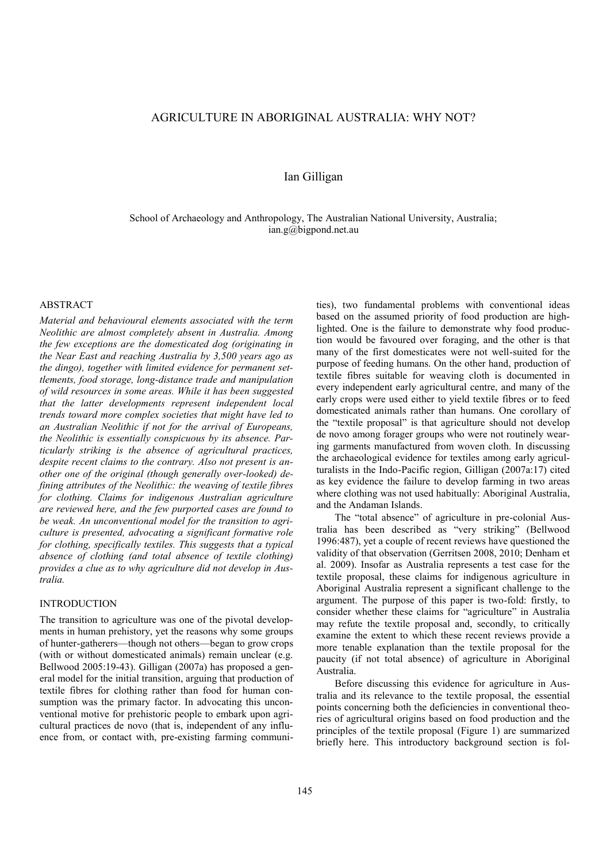# AGRICULTURE IN ABORIGINAL AUSTRALIA: WHY NOT?

# Ian Gilligan

School of Archaeology and Anthropology, The Australian National University, Australia; ian.g@bigpond.net.au

### ABSTRACT

*Material and behavioural elements associated with the term Neolithic are almost completely absent in Australia. Among the few exceptions are the domesticated dog (originating in the Near East and reaching Australia by 3,500 years ago as the dingo), together with limited evidence for permanent settlements, food storage, long-distance trade and manipulation of wild resources in some areas. While it has been suggested that the latter developments represent independent local trends toward more complex societies that might have led to an Australian Neolithic if not for the arrival of Europeans, the Neolithic is essentially conspicuous by its absence. Particularly striking is the absence of agricultural practices, despite recent claims to the contrary. Also not present is another one of the original (though generally over-looked) defining attributes of the Neolithic: the weaving of textile fibres for clothing. Claims for indigenous Australian agriculture are reviewed here, and the few purported cases are found to be weak. An unconventional model for the transition to agriculture is presented, advocating a significant formative role for clothing, specifically textiles. This suggests that a typical absence of clothing (and total absence of textile clothing) provides a clue as to why agriculture did not develop in Australia.*

### **INTRODUCTION**

The transition to agriculture was one of the pivotal developments in human prehistory, yet the reasons why some groups of hunter-gatherers—though not others—began to grow crops (with or without domesticated animals) remain unclear (e.g. Bellwood 2005:19-43). Gilligan (2007a) has proposed a general model for the initial transition, arguing that production of textile fibres for clothing rather than food for human consumption was the primary factor. In advocating this unconventional motive for prehistoric people to embark upon agricultural practices de novo (that is, independent of any influence from, or contact with, pre-existing farming communities), two fundamental problems with conventional ideas based on the assumed priority of food production are highlighted. One is the failure to demonstrate why food production would be favoured over foraging, and the other is that many of the first domesticates were not well-suited for the purpose of feeding humans. On the other hand, production of textile fibres suitable for weaving cloth is documented in every independent early agricultural centre, and many of the early crops were used either to yield textile fibres or to feed domesticated animals rather than humans. One corollary of the "textile proposal" is that agriculture should not develop de novo among forager groups who were not routinely wearing garments manufactured from woven cloth. In discussing the archaeological evidence for textiles among early agriculturalists in the Indo-Pacific region, Gilligan (2007a:17) cited as key evidence the failure to develop farming in two areas where clothing was not used habitually: Aboriginal Australia, and the Andaman Islands.

The "total absence" of agriculture in pre-colonial Australia has been described as "very striking" (Bellwood 1996:487), yet a couple of recent reviews have questioned the validity of that observation (Gerritsen 2008, 2010; Denham et al. 2009). Insofar as Australia represents a test case for the textile proposal, these claims for indigenous agriculture in Aboriginal Australia represent a significant challenge to the argument. The purpose of this paper is two-fold: firstly, to consider whether these claims for "agriculture" in Australia may refute the textile proposal and, secondly, to critically examine the extent to which these recent reviews provide a more tenable explanation than the textile proposal for the paucity (if not total absence) of agriculture in Aboriginal Australia.

Before discussing this evidence for agriculture in Australia and its relevance to the textile proposal, the essential points concerning both the deficiencies in conventional theories of agricultural origins based on food production and the principles of the textile proposal (Figure 1) are summarized briefly here. This introductory background section is fol-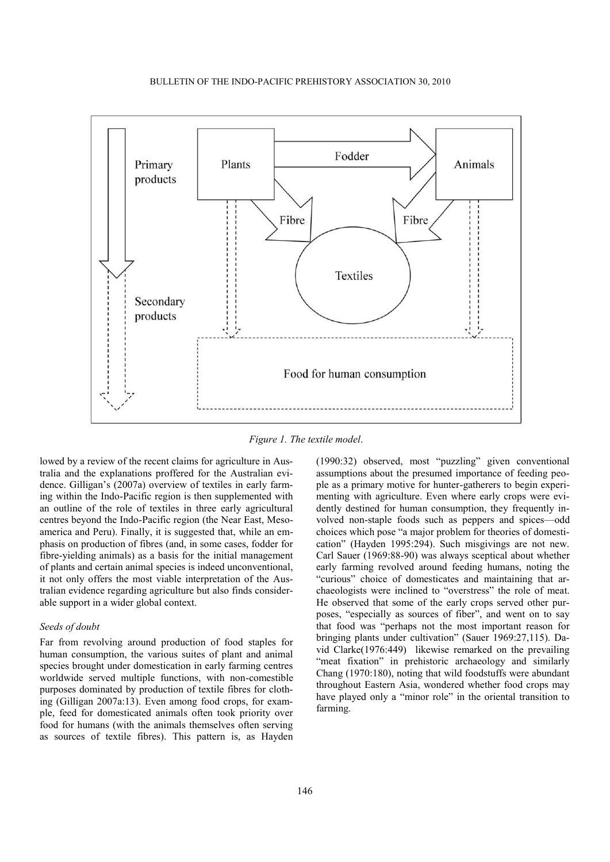

*Figure 1. The textile model*.

lowed by a review of the recent claims for agriculture in Australia and the explanations proffered for the Australian evidence. Gilligan's (2007a) overview of textiles in early farming within the Indo-Pacific region is then supplemented with an outline of the role of textiles in three early agricultural centres beyond the Indo-Pacific region (the Near East, Mesoamerica and Peru). Finally, it is suggested that, while an emphasis on production of fibres (and, in some cases, fodder for fibre-yielding animals) as a basis for the initial management of plants and certain animal species is indeed unconventional, it not only offers the most viable interpretation of the Australian evidence regarding agriculture but also finds considerable support in a wider global context.

## *Seeds of doubt*

Far from revolving around production of food staples for human consumption, the various suites of plant and animal species brought under domestication in early farming centres worldwide served multiple functions, with non-comestible purposes dominated by production of textile fibres for clothing (Gilligan 2007a:13). Even among food crops, for example, feed for domesticated animals often took priority over food for humans (with the animals themselves often serving as sources of textile fibres). This pattern is, as Hayden

(1990:32) observed, most "puzzling" given conventional assumptions about the presumed importance of feeding people as a primary motive for hunter-gatherers to begin experimenting with agriculture. Even where early crops were evidently destined for human consumption, they frequently involved non-staple foods such as peppers and spices—odd choices which pose "a major problem for theories of domestication" (Hayden 1995:294). Such misgivings are not new. Carl Sauer (1969:88-90) was always sceptical about whether early farming revolved around feeding humans, noting the "curious" choice of domesticates and maintaining that archaeologists were inclined to "overstress" the role of meat. He observed that some of the early crops served other purposes, "especially as sources of fiber", and went on to say that food was "perhaps not the most important reason for bringing plants under cultivation" (Sauer 1969:27,115). David Clarke(1976:449) likewise remarked on the prevailing "meat fixation" in prehistoric archaeology and similarly Chang (1970:180), noting that wild foodstuffs were abundant throughout Eastern Asia, wondered whether food crops may have played only a "minor role" in the oriental transition to farming.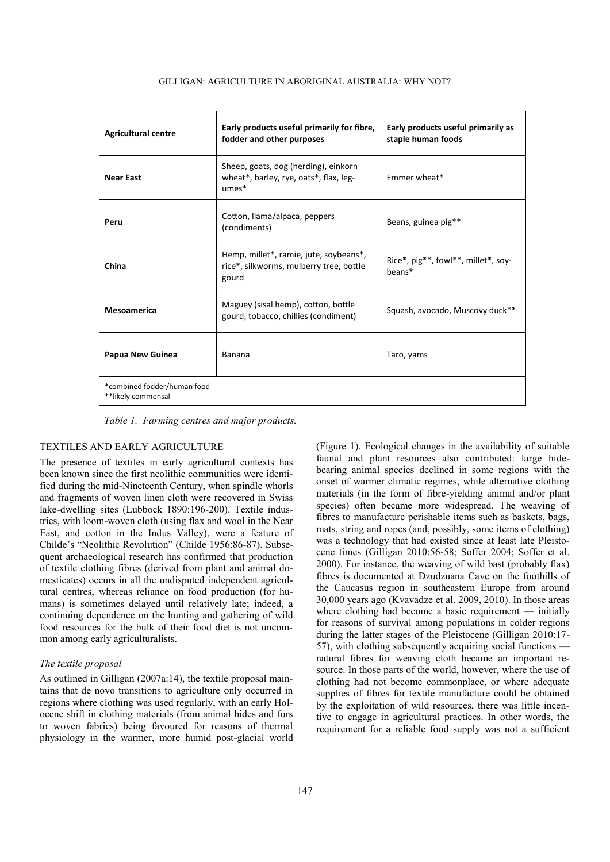| <b>Agricultural centre</b>                        | Early products useful primarily for fibre,<br>fodder and other purposes                    | Early products useful primarily as<br>staple human foods |
|---------------------------------------------------|--------------------------------------------------------------------------------------------|----------------------------------------------------------|
| <b>Near East</b>                                  | Sheep, goats, dog (herding), einkorn<br>wheat*, barley, rye, oats*, flax, leg-<br>$umes*$  | Emmer wheat*                                             |
| Peru                                              | Cotton, Ilama/alpaca, peppers<br>(condiments)                                              | Beans, guinea pig**                                      |
| China                                             | Hemp, millet*, ramie, jute, soybeans*,<br>rice*, silkworms, mulberry tree, bottle<br>gourd | Rice*, pig**, fowl**, millet*, soy-<br>heans*            |
| <b>Mesoamerica</b>                                | Maguey (sisal hemp), cotton, bottle<br>gourd, tobacco, chillies (condiment)                | Squash, avocado, Muscovy duck**                          |
| Papua New Guinea                                  | Banana                                                                                     | Taro, yams                                               |
| *combined fodder/human food<br>**likely commensal |                                                                                            |                                                          |

#### GILLIGAN: AGRICULTURE IN ABORIGINAL AUSTRALIA: WHY NOT?

*Table 1. Farming centres and major products.*

# TEXTILES AND EARLY AGRICULTURE

The presence of textiles in early agricultural contexts has been known since the first neolithic communities were identified during the mid-Nineteenth Century, when spindle whorls and fragments of woven linen cloth were recovered in Swiss lake-dwelling sites (Lubbock 1890:196-200). Textile industries, with loom-woven cloth (using flax and wool in the Near East, and cotton in the Indus Valley), were a feature of Childe's "Neolithic Revolution" (Childe 1956:86-87). Subsequent archaeological research has confirmed that production of textile clothing fibres (derived from plant and animal domesticates) occurs in all the undisputed independent agricultural centres, whereas reliance on food production (for humans) is sometimes delayed until relatively late; indeed, a continuing dependence on the hunting and gathering of wild food resources for the bulk of their food diet is not uncommon among early agriculturalists.

### *The textile proposal*

As outlined in Gilligan (2007a:14), the textile proposal maintains that de novo transitions to agriculture only occurred in regions where clothing was used regularly, with an early Holocene shift in clothing materials (from animal hides and furs to woven fabrics) being favoured for reasons of thermal physiology in the warmer, more humid post-glacial world (Figure 1). Ecological changes in the availability of suitable faunal and plant resources also contributed: large hidebearing animal species declined in some regions with the onset of warmer climatic regimes, while alternative clothing materials (in the form of fibre-yielding animal and/or plant species) often became more widespread. The weaving of fibres to manufacture perishable items such as baskets, bags, mats, string and ropes (and, possibly, some items of clothing) was a technology that had existed since at least late Pleistocene times (Gilligan 2010:56-58; Soffer 2004; Soffer et al. 2000). For instance, the weaving of wild bast (probably flax) fibres is documented at Dzudzuana Cave on the foothills of the Caucasus region in southeastern Europe from around 30,000 years ago (Kvavadze et al. 2009, 2010). In those areas where clothing had become a basic requirement — initially for reasons of survival among populations in colder regions during the latter stages of the Pleistocene (Gilligan 2010:17- 57), with clothing subsequently acquiring social functions natural fibres for weaving cloth became an important resource. In those parts of the world, however, where the use of clothing had not become commonplace, or where adequate supplies of fibres for textile manufacture could be obtained by the exploitation of wild resources, there was little incentive to engage in agricultural practices. In other words, the requirement for a reliable food supply was not a sufficient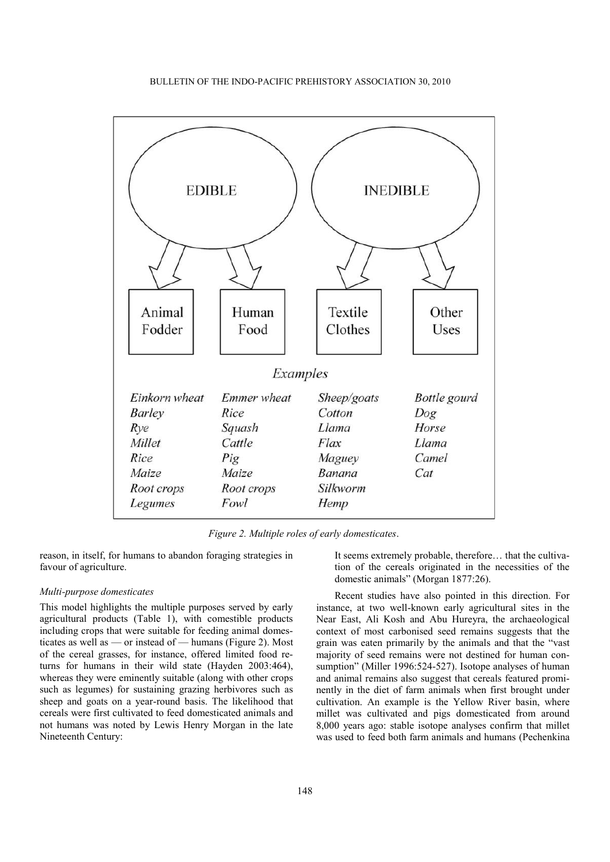

*Figure 2. Multiple roles of early domesticates*.

reason, in itself, for humans to abandon foraging strategies in favour of agriculture.

## *Multi-purpose domesticates*

This model highlights the multiple purposes served by early agricultural products (Table 1), with comestible products including crops that were suitable for feeding animal domesticates as well as — or instead of — humans (Figure 2). Most of the cereal grasses, for instance, offered limited food returns for humans in their wild state (Hayden 2003:464), whereas they were eminently suitable (along with other crops such as legumes) for sustaining grazing herbivores such as sheep and goats on a year-round basis. The likelihood that cereals were first cultivated to feed domesticated animals and not humans was noted by Lewis Henry Morgan in the late Nineteenth Century:

It seems extremely probable, therefore… that the cultivation of the cereals originated in the necessities of the domestic animals" (Morgan 1877:26).

Recent studies have also pointed in this direction. For instance, at two well-known early agricultural sites in the Near East, Ali Kosh and Abu Hureyra, the archaeological context of most carbonised seed remains suggests that the grain was eaten primarily by the animals and that the "vast" majority of seed remains were not destined for human consumption" (Miller 1996:524-527). Isotope analyses of human and animal remains also suggest that cereals featured prominently in the diet of farm animals when first brought under cultivation. An example is the Yellow River basin, where millet was cultivated and pigs domesticated from around 8,000 years ago: stable isotope analyses confirm that millet was used to feed both farm animals and humans (Pechenkina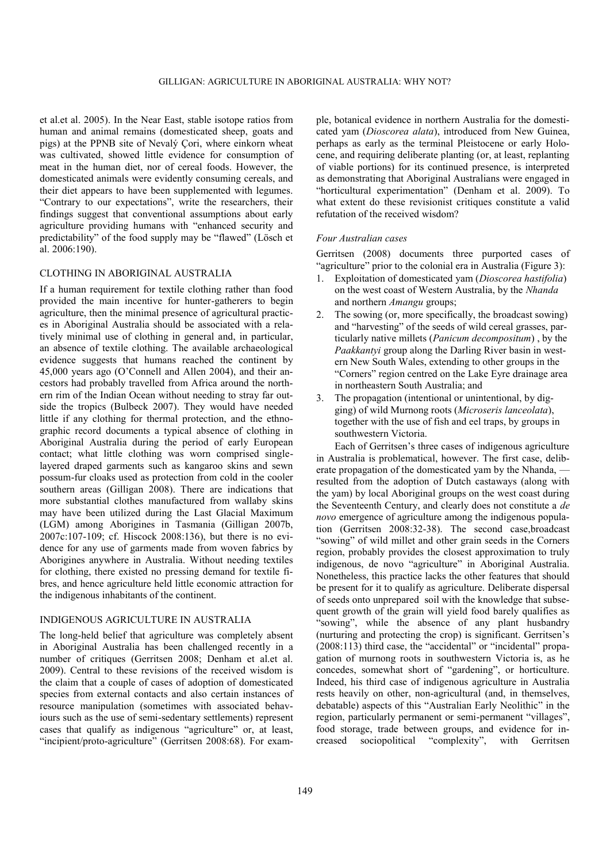et al.et al. 2005). In the Near East, stable isotope ratios from human and animal remains (domesticated sheep, goats and pigs) at the PPNB site of Nevalý Çori, where einkorn wheat was cultivated, showed little evidence for consumption of meat in the human diet, nor of cereal foods. However, the domesticated animals were evidently consuming cereals, and their diet appears to have been supplemented with legumes. "Contrary to our expectations", write the researchers, their findings suggest that conventional assumptions about early agriculture providing humans with "enhanced security and predictability" of the food supply may be "flawed" (Lösch et al. 2006:190).

# CLOTHING IN ABORIGINAL AUSTRALIA

If a human requirement for textile clothing rather than food provided the main incentive for hunter-gatherers to begin agriculture, then the minimal presence of agricultural practices in Aboriginal Australia should be associated with a relatively minimal use of clothing in general and, in particular, an absence of textile clothing. The available archaeological evidence suggests that humans reached the continent by 45,000 years ago (O'Connell and Allen 2004), and their ancestors had probably travelled from Africa around the northern rim of the Indian Ocean without needing to stray far outside the tropics (Bulbeck 2007). They would have needed little if any clothing for thermal protection, and the ethnographic record documents a typical absence of clothing in Aboriginal Australia during the period of early European contact; what little clothing was worn comprised singlelayered draped garments such as kangaroo skins and sewn possum-fur cloaks used as protection from cold in the cooler southern areas (Gilligan 2008). There are indications that more substantial clothes manufactured from wallaby skins may have been utilized during the Last Glacial Maximum (LGM) among Aborigines in Tasmania (Gilligan 2007b, 2007c:107-109; cf. Hiscock 2008:136), but there is no evidence for any use of garments made from woven fabrics by Aborigines anywhere in Australia. Without needing textiles for clothing, there existed no pressing demand for textile fibres, and hence agriculture held little economic attraction for the indigenous inhabitants of the continent.

#### INDIGENOUS AGRICULTURE IN AUSTRALIA

The long-held belief that agriculture was completely absent in Aboriginal Australia has been challenged recently in a number of critiques (Gerritsen 2008; Denham et al.et al. 2009). Central to these revisions of the received wisdom is the claim that a couple of cases of adoption of domesticated species from external contacts and also certain instances of resource manipulation (sometimes with associated behaviours such as the use of semi-sedentary settlements) represent cases that qualify as indigenous "agriculture" or, at least, "incipient/proto-agriculture" (Gerritsen 2008:68). For example, botanical evidence in northern Australia for the domesticated yam (*Dioscorea alata*), introduced from New Guinea, perhaps as early as the terminal Pleistocene or early Holocene, and requiring deliberate planting (or, at least, replanting of viable portions) for its continued presence, is interpreted as demonstrating that Aboriginal Australians were engaged in "horticultural experimentation" (Denham et al. 2009). To what extent do these revisionist critiques constitute a valid refutation of the received wisdom?

### *Four Australian cases*

Gerritsen (2008) documents three purported cases of "agriculture" prior to the colonial era in Australia (Figure 3):

- 1. Exploitation of domesticated yam (*Dioscorea hastifolia*) on the west coast of Western Australia, by the *Nhanda* and northern *Amangu* groups;
- 2. The sowing (or, more specifically, the broadcast sowing) and "harvesting" of the seeds of wild cereal grasses, particularly native millets (*Panicum decompositum*) , by the *Paakkantyi* group along the Darling River basin in western New South Wales, extending to other groups in the ―Corners‖ region centred on the Lake Eyre drainage area in northeastern South Australia; and
- 3. The propagation (intentional or unintentional, by digging) of wild Murnong roots (*Microseris lanceolata*), together with the use of fish and eel traps, by groups in southwestern Victoria.

Each of Gerritsen's three cases of indigenous agriculture in Australia is problematical, however. The first case, deliberate propagation of the domesticated yam by the Nhanda, resulted from the adoption of Dutch castaways (along with the yam) by local Aboriginal groups on the west coast during the Seventeenth Century, and clearly does not constitute a *de novo* emergence of agriculture among the indigenous population (Gerritsen 2008:32-38). The second case,broadcast "sowing" of wild millet and other grain seeds in the Corners region, probably provides the closest approximation to truly indigenous, de novo "agriculture" in Aboriginal Australia. Nonetheless, this practice lacks the other features that should be present for it to qualify as agriculture. Deliberate dispersal of seeds onto unprepared soil with the knowledge that subsequent growth of the grain will yield food barely qualifies as "sowing", while the absence of any plant husbandry (nurturing and protecting the crop) is significant. Gerritsen's  $(2008:113)$  third case, the "accidental" or "incidental" propagation of murnong roots in southwestern Victoria is, as he concedes, somewhat short of "gardening", or horticulture. Indeed, his third case of indigenous agriculture in Australia rests heavily on other, non-agricultural (and, in themselves, debatable) aspects of this "Australian Early Neolithic" in the region, particularly permanent or semi-permanent "villages", food storage, trade between groups, and evidence for increased sociopolitical "complexity", with Gerritsen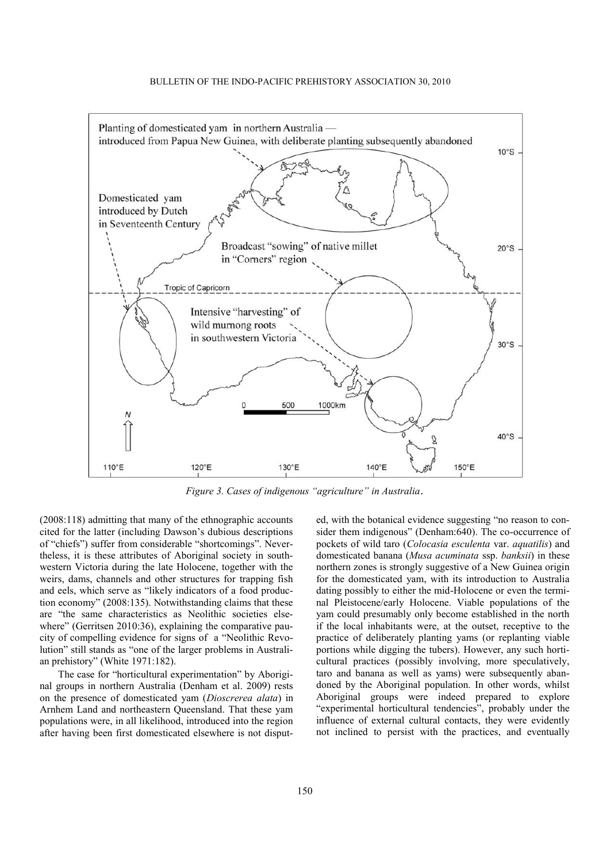

*Figure 3. Cases of indigenous "agriculture" in Australia*.

(2008:118) admitting that many of the ethnographic accounts cited for the latter (including Dawson's dubious descriptions of "chiefs") suffer from considerable "shortcomings". Nevertheless, it is these attributes of Aboriginal society in southwestern Victoria during the late Holocene, together with the weirs, dams, channels and other structures for trapping fish and eels, which serve as "likely indicators of a food production economy" (2008:135). Notwithstanding claims that these are "the same characteristics as Neolithic societies elsewhere" (Gerritsen 2010:36), explaining the comparative paucity of compelling evidence for signs of a "Neolithic Revolution" still stands as "one of the larger problems in Australian prehistory" (White 1971:182).

The case for "horticultural experimentation" by Aboriginal groups in northern Australia (Denham et al. 2009) rests on the presence of domesticated yam (*Dioscrerea alata*) in Arnhem Land and northeastern Queensland. That these yam populations were, in all likelihood, introduced into the region after having been first domesticated elsewhere is not disputed, with the botanical evidence suggesting "no reason to consider them indigenous" (Denham:640). The co-occurrence of pockets of wild taro (*Colocasia esculenta* var. *aquatilis*) and domesticated banana (*Musa acuminata* ssp. *banksii*) in these northern zones is strongly suggestive of a New Guinea origin for the domesticated yam, with its introduction to Australia dating possibly to either the mid-Holocene or even the terminal Pleistocene/early Holocene. Viable populations of the yam could presumably only become established in the north if the local inhabitants were, at the outset, receptive to the practice of deliberately planting yams (or replanting viable portions while digging the tubers). However, any such horticultural practices (possibly involving, more speculatively, taro and banana as well as yams) were subsequently abandoned by the Aboriginal population. In other words, whilst Aboriginal groups were indeed prepared to explore "experimental horticultural tendencies", probably under the influence of external cultural contacts, they were evidently not inclined to persist with the practices, and eventually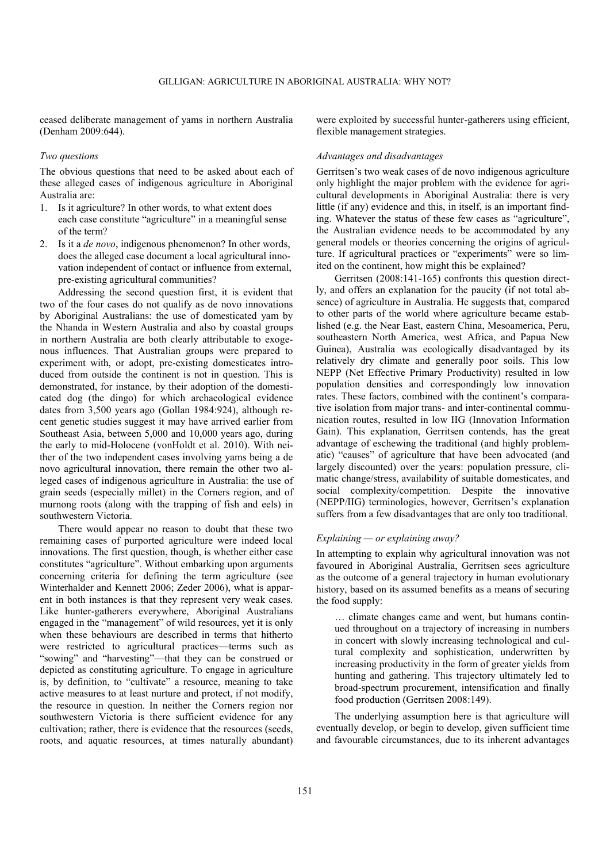ceased deliberate management of yams in northern Australia (Denham 2009:644).

## *Two questions*

The obvious questions that need to be asked about each of these alleged cases of indigenous agriculture in Aboriginal Australia are:

- 1. Is it agriculture? In other words, to what extent does each case constitute "agriculture" in a meaningful sense of the term?
- 2. Is it a *de novo*, indigenous phenomenon? In other words, does the alleged case document a local agricultural innovation independent of contact or influence from external, pre-existing agricultural communities?

Addressing the second question first, it is evident that two of the four cases do not qualify as de novo innovations by Aboriginal Australians: the use of domesticated yam by the Nhanda in Western Australia and also by coastal groups in northern Australia are both clearly attributable to exogenous influences. That Australian groups were prepared to experiment with, or adopt, pre-existing domesticates introduced from outside the continent is not in question. This is demonstrated, for instance, by their adoption of the domesticated dog (the dingo) for which archaeological evidence dates from 3,500 years ago (Gollan 1984:924), although recent genetic studies suggest it may have arrived earlier from Southeast Asia, between 5,000 and 10,000 years ago, during the early to mid-Holocene (vonHoldt et al. 2010). With neither of the two independent cases involving yams being a de novo agricultural innovation, there remain the other two alleged cases of indigenous agriculture in Australia: the use of grain seeds (especially millet) in the Corners region, and of murnong roots (along with the trapping of fish and eels) in southwestern Victoria.

There would appear no reason to doubt that these two remaining cases of purported agriculture were indeed local innovations. The first question, though, is whether either case constitutes "agriculture". Without embarking upon arguments concerning criteria for defining the term agriculture (see Winterhalder and Kennett 2006; Zeder 2006), what is apparent in both instances is that they represent very weak cases. Like hunter-gatherers everywhere, Aboriginal Australians engaged in the "management" of wild resources, yet it is only when these behaviours are described in terms that hitherto were restricted to agricultural practices—terms such as "sowing" and "harvesting"—that they can be construed or depicted as constituting agriculture. To engage in agriculture is, by definition, to "cultivate" a resource, meaning to take active measures to at least nurture and protect, if not modify, the resource in question. In neither the Corners region nor southwestern Victoria is there sufficient evidence for any cultivation; rather, there is evidence that the resources (seeds, roots, and aquatic resources, at times naturally abundant)

were exploited by successful hunter-gatherers using efficient, flexible management strategies.

### *Advantages and disadvantages*

Gerritsen's two weak cases of de novo indigenous agriculture only highlight the major problem with the evidence for agricultural developments in Aboriginal Australia: there is very little (if any) evidence and this, in itself, is an important finding. Whatever the status of these few cases as "agriculture", the Australian evidence needs to be accommodated by any general models or theories concerning the origins of agriculture. If agricultural practices or "experiments" were so limited on the continent, how might this be explained?

Gerritsen (2008:141-165) confronts this question directly, and offers an explanation for the paucity (if not total absence) of agriculture in Australia. He suggests that, compared to other parts of the world where agriculture became established (e.g. the Near East, eastern China, Mesoamerica, Peru, southeastern North America, west Africa, and Papua New Guinea), Australia was ecologically disadvantaged by its relatively dry climate and generally poor soils. This low NEPP (Net Effective Primary Productivity) resulted in low population densities and correspondingly low innovation rates. These factors, combined with the continent's comparative isolation from major trans- and inter-continental communication routes, resulted in low IIG (Innovation Information Gain). This explanation, Gerritsen contends, has the great advantage of eschewing the traditional (and highly problematic) "causes" of agriculture that have been advocated (and largely discounted) over the years: population pressure, climatic change/stress, availability of suitable domesticates, and social complexity/competition. Despite the innovative (NEPP/IIG) terminologies, however, Gerritsen's explanation suffers from a few disadvantages that are only too traditional.

# *Explaining — or explaining away?*

In attempting to explain why agricultural innovation was not favoured in Aboriginal Australia, Gerritsen sees agriculture as the outcome of a general trajectory in human evolutionary history, based on its assumed benefits as a means of securing the food supply:

… climate changes came and went, but humans continued throughout on a trajectory of increasing in numbers in concert with slowly increasing technological and cultural complexity and sophistication, underwritten by increasing productivity in the form of greater yields from hunting and gathering. This trajectory ultimately led to broad-spectrum procurement, intensification and finally food production (Gerritsen 2008:149).

The underlying assumption here is that agriculture will eventually develop, or begin to develop, given sufficient time and favourable circumstances, due to its inherent advantages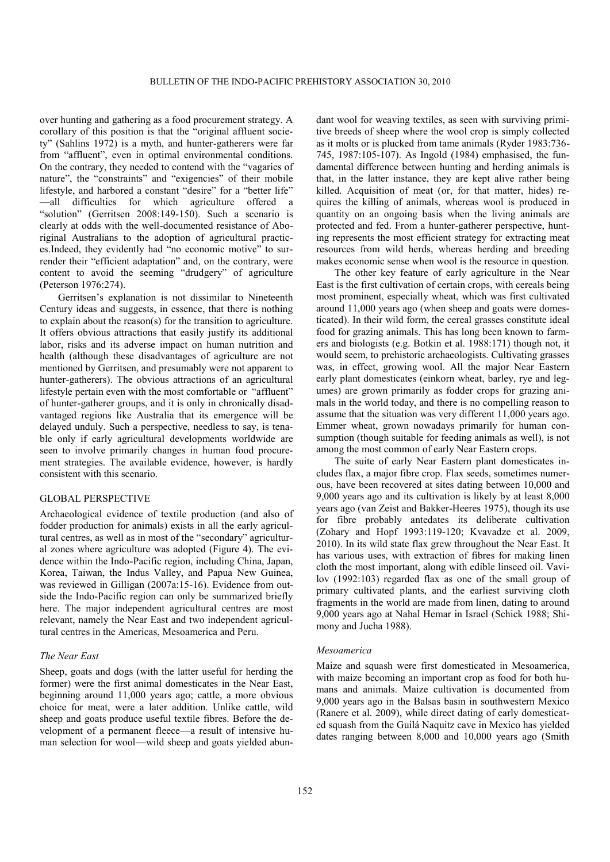over hunting and gathering as a food procurement strategy. A corollary of this position is that the "original affluent society" (Sahlins 1972) is a myth, and hunter-gatherers were far from "affluent", even in optimal environmental conditions. On the contrary, they needed to contend with the "vagaries of nature", the "constraints" and "exigencies" of their mobile lifestyle, and harbored a constant "desire" for a "better life" —all difficulties for which agriculture offered a "solution" (Gerritsen 2008:149-150). Such a scenario is clearly at odds with the well-documented resistance of Aboriginal Australians to the adoption of agricultural practices. Indeed, they evidently had "no economic motive" to surrender their "efficient adaptation" and, on the contrary, were content to avoid the seeming "drudgery" of agriculture (Peterson 1976:274).

Gerritsen's explanation is not dissimilar to Nineteenth Century ideas and suggests, in essence, that there is nothing to explain about the reason(s) for the transition to agriculture. It offers obvious attractions that easily justify its additional labor, risks and its adverse impact on human nutrition and health (although these disadvantages of agriculture are not mentioned by Gerritsen, and presumably were not apparent to hunter-gatherers). The obvious attractions of an agricultural lifestyle pertain even with the most comfortable or "affluent" of hunter-gatherer groups, and it is only in chronically disadvantaged regions like Australia that its emergence will be delayed unduly. Such a perspective, needless to say, is tenable only if early agricultural developments worldwide are seen to involve primarily changes in human food procurement strategies. The available evidence, however, is hardly consistent with this scenario.

# GLOBAL PERSPECTIVE

Archaeological evidence of textile production (and also of fodder production for animals) exists in all the early agricultural centres, as well as in most of the "secondary" agricultural zones where agriculture was adopted (Figure 4). The evidence within the Indo-Pacific region, including China, Japan, Korea, Taiwan, the Indus Valley, and Papua New Guinea, was reviewed in Gilligan (2007a:15-16). Evidence from outside the Indo-Pacific region can only be summarized briefly here. The major independent agricultural centres are most relevant, namely the Near East and two independent agricultural centres in the Americas, Mesoamerica and Peru.

# *The Near East*

Sheep, goats and dogs (with the latter useful for herding the former) were the first animal domesticates in the Near East, beginning around 11,000 years ago; cattle, a more obvious choice for meat, were a later addition. Unlike cattle, wild sheep and goats produce useful textile fibres. Before the development of a permanent fleece—a result of intensive human selection for wool—wild sheep and goats yielded abundant wool for weaving textiles, as seen with surviving primitive breeds of sheep where the wool crop is simply collected as it molts or is plucked from tame animals (Ryder 1983:736- 745, 1987:105-107). As Ingold (1984) emphasised, the fundamental difference between hunting and herding animals is that, in the latter instance, they are kept alive rather being killed. Acquisition of meat (or, for that matter, hides) requires the killing of animals, whereas wool is produced in quantity on an ongoing basis when the living animals are protected and fed. From a hunter-gatherer perspective, hunting represents the most efficient strategy for extracting meat resources from wild herds, whereas herding and breeding makes economic sense when wool is the resource in question.

The other key feature of early agriculture in the Near East is the first cultivation of certain crops, with cereals being most prominent, especially wheat, which was first cultivated around 11,000 years ago (when sheep and goats were domesticated). In their wild form, the cereal grasses constitute ideal food for grazing animals. This has long been known to farmers and biologists (e.g. Botkin et al. 1988:171) though not, it would seem, to prehistoric archaeologists. Cultivating grasses was, in effect, growing wool. All the major Near Eastern early plant domesticates (einkorn wheat, barley, rye and legumes) are grown primarily as fodder crops for grazing animals in the world today, and there is no compelling reason to assume that the situation was very different 11,000 years ago. Emmer wheat, grown nowadays primarily for human consumption (though suitable for feeding animals as well), is not among the most common of early Near Eastern crops.

The suite of early Near Eastern plant domesticates includes flax, a major fibre crop. Flax seeds, sometimes numerous, have been recovered at sites dating between 10,000 and 9,000 years ago and its cultivation is likely by at least 8,000 years ago (van Zeist and Bakker-Heeres 1975), though its use for fibre probably antedates its deliberate cultivation (Zohary and Hopf 1993:119-120; Kvavadze et al. 2009, 2010). In its wild state flax grew throughout the Near East. It has various uses, with extraction of fibres for making linen cloth the most important, along with edible linseed oil. Vavilov (1992:103) regarded flax as one of the small group of primary cultivated plants, and the earliest surviving cloth fragments in the world are made from linen, dating to around 9,000 years ago at Nahal Hemar in Israel (Schick 1988; Shimony and Jucha 1988).

#### *Mesoamerica*

Maize and squash were first domesticated in Mesoamerica, with maize becoming an important crop as food for both humans and animals. Maize cultivation is documented from 9,000 years ago in the Balsas basin in southwestern Mexico (Ranere et al. 2009), while direct dating of early domesticated squash from the Guilá Naquitz cave in Mexico has yielded dates ranging between 8,000 and 10,000 years ago (Smith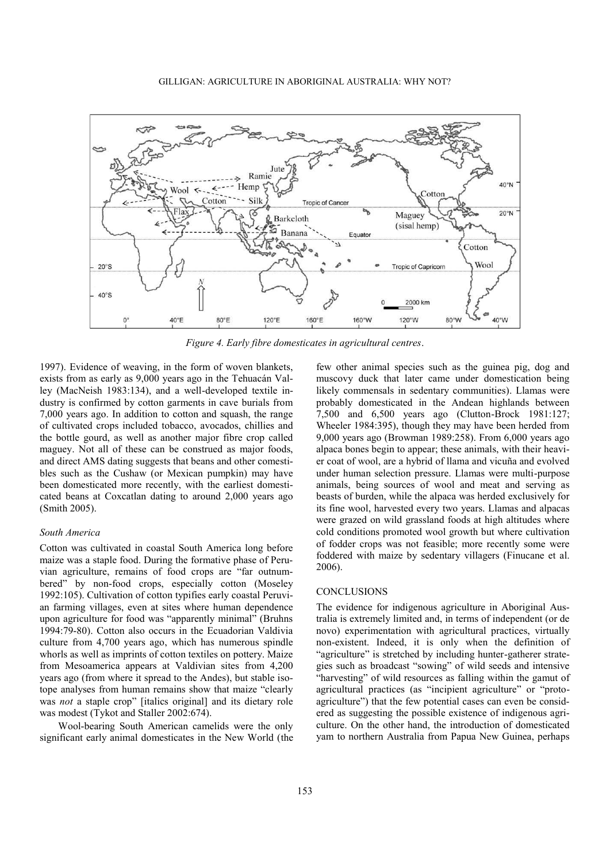

*Figure 4. Early fibre domesticates in agricultural centres*.

1997). Evidence of weaving, in the form of woven blankets, exists from as early as 9,000 years ago in the Tehuacán Valley (MacNeish 1983:134), and a well-developed textile industry is confirmed by cotton garments in cave burials from 7,000 years ago. In addition to cotton and squash, the range of cultivated crops included tobacco, avocados, chillies and the bottle gourd, as well as another major fibre crop called maguey. Not all of these can be construed as major foods, and direct AMS dating suggests that beans and other comestibles such as the Cushaw (or Mexican pumpkin) may have been domesticated more recently, with the earliest domesticated beans at Coxcatlan dating to around 2,000 years ago (Smith 2005).

### *South America*

Cotton was cultivated in coastal South America long before maize was a staple food. During the formative phase of Peruvian agriculture, remains of food crops are "far outnumbered" by non-food crops, especially cotton (Moseley 1992:105). Cultivation of cotton typifies early coastal Peruvian farming villages, even at sites where human dependence upon agriculture for food was "apparently minimal" (Bruhns 1994:79-80). Cotton also occurs in the Ecuadorian Valdivia culture from 4,700 years ago, which has numerous spindle whorls as well as imprints of cotton textiles on pottery. Maize from Mesoamerica appears at Valdivian sites from 4,200 years ago (from where it spread to the Andes), but stable isotope analyses from human remains show that maize "clearly was *not* a staple crop" [italics original] and its dietary role was modest (Tykot and Staller 2002:674).

Wool-bearing South American camelids were the only significant early animal domesticates in the New World (the few other animal species such as the guinea pig, dog and muscovy duck that later came under domestication being likely commensals in sedentary communities). Llamas were probably domesticated in the Andean highlands between 7,500 and 6,500 years ago (Clutton-Brock 1981:127; Wheeler 1984:395), though they may have been herded from 9,000 years ago (Browman 1989:258). From 6,000 years ago alpaca bones begin to appear; these animals, with their heavier coat of wool, are a hybrid of llama and vicuña and evolved under human selection pressure. Llamas were multi-purpose animals, being sources of wool and meat and serving as beasts of burden, while the alpaca was herded exclusively for its fine wool, harvested every two years. Llamas and alpacas were grazed on wild grassland foods at high altitudes where cold conditions promoted wool growth but where cultivation of fodder crops was not feasible; more recently some were foddered with maize by sedentary villagers (Finucane et al. 2006).

#### **CONCLUSIONS**

The evidence for indigenous agriculture in Aboriginal Australia is extremely limited and, in terms of independent (or de novo) experimentation with agricultural practices, virtually non-existent. Indeed, it is only when the definition of "agriculture" is stretched by including hunter-gatherer strategies such as broadcast "sowing" of wild seeds and intensive "harvesting" of wild resources as falling within the gamut of agricultural practices (as "incipient agriculture" or "protoagriculture") that the few potential cases can even be considered as suggesting the possible existence of indigenous agriculture. On the other hand, the introduction of domesticated yam to northern Australia from Papua New Guinea, perhaps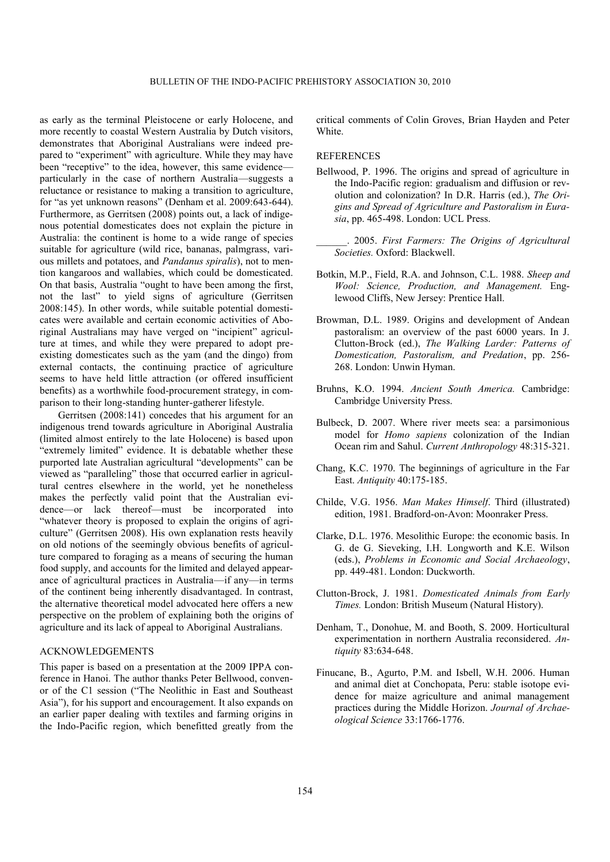as early as the terminal Pleistocene or early Holocene, and more recently to coastal Western Australia by Dutch visitors, demonstrates that Aboriginal Australians were indeed prepared to "experiment" with agriculture. While they may have been "receptive" to the idea, however, this same evidence particularly in the case of northern Australia—suggests a reluctance or resistance to making a transition to agriculture, for "as yet unknown reasons" (Denham et al. 2009:643-644). Furthermore, as Gerritsen (2008) points out, a lack of indigenous potential domesticates does not explain the picture in Australia: the continent is home to a wide range of species suitable for agriculture (wild rice, bananas, palmgrass, various millets and potatoes, and *Pandanus spiralis*), not to mention kangaroos and wallabies, which could be domesticated. On that basis, Australia "ought to have been among the first, not the last" to yield signs of agriculture (Gerritsen 2008:145). In other words, while suitable potential domesticates were available and certain economic activities of Aboriginal Australians may have verged on "incipient" agriculture at times, and while they were prepared to adopt preexisting domesticates such as the yam (and the dingo) from external contacts, the continuing practice of agriculture seems to have held little attraction (or offered insufficient benefits) as a worthwhile food-procurement strategy, in comparison to their long-standing hunter-gatherer lifestyle.

Gerritsen (2008:141) concedes that his argument for an indigenous trend towards agriculture in Aboriginal Australia (limited almost entirely to the late Holocene) is based upon "extremely limited" evidence. It is debatable whether these purported late Australian agricultural "developments" can be viewed as "paralleling" those that occurred earlier in agricultural centres elsewhere in the world, yet he nonetheless makes the perfectly valid point that the Australian evidence—or lack thereof—must be incorporated into "whatever theory is proposed to explain the origins of agriculture" (Gerritsen 2008). His own explanation rests heavily on old notions of the seemingly obvious benefits of agriculture compared to foraging as a means of securing the human food supply, and accounts for the limited and delayed appearance of agricultural practices in Australia—if any—in terms of the continent being inherently disadvantaged. In contrast, the alternative theoretical model advocated here offers a new perspective on the problem of explaining both the origins of agriculture and its lack of appeal to Aboriginal Australians.

#### ACKNOWLEDGEMENTS

This paper is based on a presentation at the 2009 IPPA conference in Hanoi. The author thanks Peter Bellwood, convenor of the C1 session ("The Neolithic in East and Southeast Asia"), for his support and encouragement. It also expands on an earlier paper dealing with textiles and farming origins in the Indo-Pacific region, which benefitted greatly from the critical comments of Colin Groves, Brian Hayden and Peter White.

# **REFERENCES**

- Bellwood, P. 1996. The origins and spread of agriculture in the Indo-Pacific region: gradualism and diffusion or revolution and colonization? In D.R. Harris (ed.), *The Origins and Spread of Agriculture and Pastoralism in Eurasia*, pp. 465-498. London: UCL Press.
	- \_\_\_\_\_\_. 2005. *First Farmers: The Origins of Agricultural Societies.* Oxford: Blackwell.
- Botkin, M.P., Field, R.A. and Johnson, C.L. 1988. *Sheep and Wool: Science, Production, and Management.* Englewood Cliffs, New Jersey: Prentice Hall.
- Browman, D.L. 1989. Origins and development of Andean pastoralism: an overview of the past 6000 years. In J. Clutton-Brock (ed.), *The Walking Larder: Patterns of Domestication, Pastoralism, and Predation*, pp. 256- 268. London: Unwin Hyman.
- Bruhns, K.O. 1994. *Ancient South America.* Cambridge: Cambridge University Press.
- Bulbeck, D. 2007. Where river meets sea: a parsimonious model for *Homo sapiens* colonization of the Indian Ocean rim and Sahul. *Current Anthropology* 48:315-321.
- Chang, K.C. 1970. The beginnings of agriculture in the Far East. *Antiquity* 40:175-185.
- Childe, V.G. 1956. *Man Makes Himself*. Third (illustrated) edition, 1981. Bradford-on-Avon: Moonraker Press.
- Clarke, D.L. 1976. Mesolithic Europe: the economic basis. In G. de G. Sieveking, I.H. Longworth and K.E. Wilson (eds.), *Problems in Economic and Social Archaeology*, pp. 449-481. London: Duckworth.
- Clutton-Brock, J. 1981. *Domesticated Animals from Early Times.* London: British Museum (Natural History).
- Denham, T., Donohue, M. and Booth, S. 2009. Horticultural experimentation in northern Australia reconsidered. *Antiquity* 83:634-648.
- Finucane, B., Agurto, P.M. and Isbell, W.H. 2006. Human and animal diet at Conchopata, Peru: stable isotope evidence for maize agriculture and animal management practices during the Middle Horizon. *Journal of Archaeological Science* 33:1766-1776.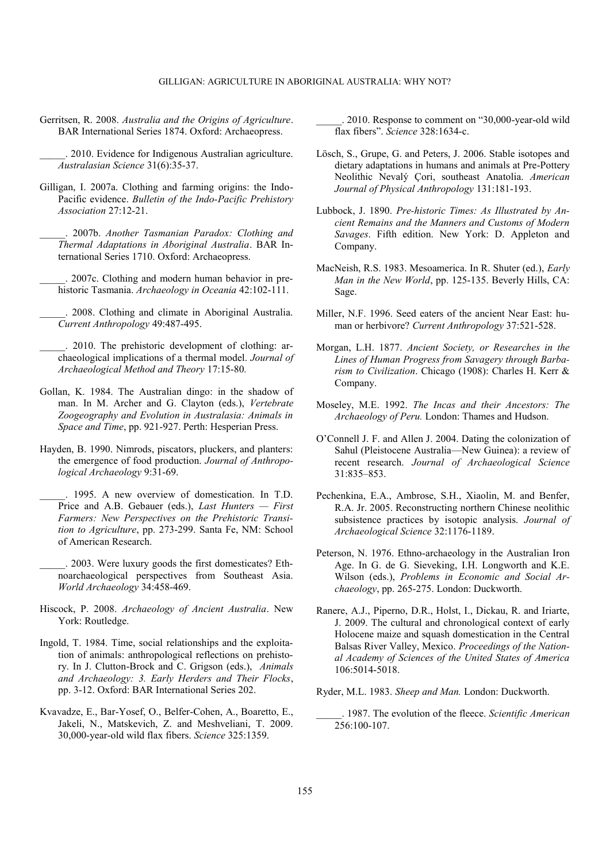Gerritsen, R. 2008. *Australia and the Origins of Agriculture*. BAR International Series 1874. Oxford: Archaeopress.

\_\_\_\_\_. 2010. Evidence for Indigenous Australian agriculture. *Australasian Science* 31(6):35-37.

- Gilligan, I. 2007a. Clothing and farming origins: the Indo-Pacific evidence. *Bulletin of the Indo-Pacific Prehistory Association* 27:12-21.
	- \_\_\_\_\_. 2007b. *Another Tasmanian Paradox: Clothing and Thermal Adaptations in Aboriginal Australia*. BAR International Series 1710. Oxford: Archaeopress.

\_\_\_\_\_. 2007c. Clothing and modern human behavior in prehistoric Tasmania. *Archaeology in Oceania* 42:102-111.

\_\_\_\_\_. 2008. Clothing and climate in Aboriginal Australia. *Current Anthropology* 49:487-495.

- 2010. The prehistoric development of clothing: archaeological implications of a thermal model. *Journal of Archaeological Method and Theory* 17:15-80*.*
- Gollan, K. 1984. The Australian dingo: in the shadow of man. In M. Archer and G. Clayton (eds.), *Vertebrate Zoogeography and Evolution in Australasia: Animals in Space and Time*, pp. 921-927. Perth: Hesperian Press.
- Hayden, B. 1990. Nimrods, piscators, pluckers, and planters: the emergence of food production. *Journal of Anthropological Archaeology* 9:31-69.

\_\_\_\_\_. 1995. A new overview of domestication. In T.D. Price and A.B. Gebauer (eds.), *Last Hunters — First Farmers: New Perspectives on the Prehistoric Transition to Agriculture*, pp. 273-299. Santa Fe, NM: School of American Research.

\_\_\_\_\_. 2003. Were luxury goods the first domesticates? Ethnoarchaeological perspectives from Southeast Asia. *World Archaeology* 34:458-469.

- Hiscock, P. 2008. *Archaeology of Ancient Australia*. New York: Routledge.
- Ingold, T. 1984. Time, social relationships and the exploitation of animals: anthropological reflections on prehistory. In J. Clutton-Brock and C. Grigson (eds.), *Animals and Archaeology: 3. Early Herders and Their Flocks*, pp. 3-12. Oxford: BAR International Series 202.
- Kvavadze, E., Bar-Yosef, O., Belfer-Cohen, A., Boaretto, E., Jakeli, N., Matskevich, Z. and Meshveliani, T. 2009. 30,000-year-old wild flax fibers. *Science* 325:1359.

. 2010. Response to comment on "30,000-year-old wild flax fibers‖. *Science* 328:1634-c.

- Lösch, S., Grupe, G. and Peters, J. 2006. Stable isotopes and dietary adaptations in humans and animals at Pre-Pottery Neolithic Nevalý Çori, southeast Anatolia. *American Journal of Physical Anthropology* 131:181-193.
- Lubbock, J. 1890. *Pre-historic Times: As Illustrated by Ancient Remains and the Manners and Customs of Modern Savages*. Fifth edition. New York: D. Appleton and Company.
- MacNeish, R.S. 1983. Mesoamerica. In R. Shuter (ed.), *Early Man in the New World*, pp. 125-135. Beverly Hills, CA: Sage.
- Miller, N.F. 1996. Seed eaters of the ancient Near East: human or herbivore? *Current Anthropology* 37:521-528.
- Morgan, L.H. 1877. *Ancient Society, or Researches in the Lines of Human Progress from Savagery through Barbarism to Civilization*. Chicago (1908): Charles H. Kerr & Company.
- Moseley, M.E. 1992. *The Incas and their Ancestors: The Archaeology of Peru.* London: Thames and Hudson.
- O'Connell J. F. and Allen J. 2004. Dating the colonization of Sahul (Pleistocene Australia—New Guinea): a review of recent research. *Journal of Archaeological Science*  31:835–853.
- Pechenkina, E.A., Ambrose, S.H., Xiaolin, M. and Benfer, R.A. Jr. 2005. Reconstructing northern Chinese neolithic subsistence practices by isotopic analysis. *Journal of Archaeological Science* 32:1176-1189.
- Peterson, N. 1976. Ethno-archaeology in the Australian Iron Age. In G. de G. Sieveking, I.H. Longworth and K.E. Wilson (eds.), *Problems in Economic and Social Archaeology*, pp. 265-275. London: Duckworth.
- Ranere, A.J., Piperno, D.R., Holst, I., Dickau, R. and Iriarte, J. 2009. The cultural and chronological context of early Holocene maize and squash domestication in the Central Balsas River Valley, Mexico. *Proceedings of the National Academy of Sciences of the United States of America* 106:5014-5018.

Ryder, M.L. 1983. *Sheep and Man.* London: Duckworth.

\_\_\_\_\_. 1987. The evolution of the fleece. *Scientific American*  $\overline{256:100-107}$